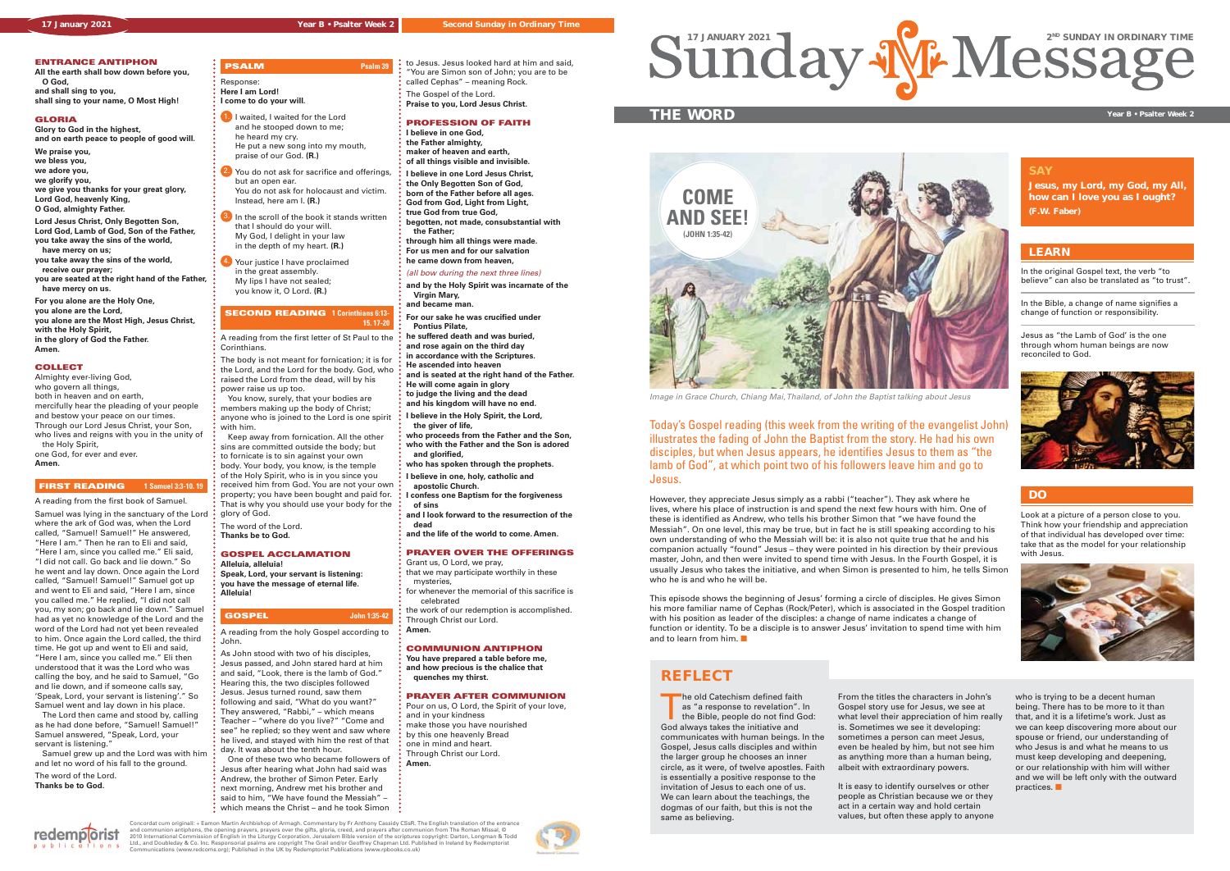# **ENTRANCE ANTIPHON**

**All the earth shall bow down before you, O God, and shall sing to you, shall sing to your name, O Most High!**

# **GLORIA**

**Glory to God in the highest, and on earth peace to people of good will.**

**We praise you, we bless you, we adore you, we glorify you, we give you thanks for your great glory, Lord God, heavenly King,**

**O God, almighty Father. Lord Jesus Christ, Only Begotten Son, Lord God, Lamb of God, Son of the Father, you take away the sins of the world,** 

 **have mercy on us;**

**you take away the sins of the world, receive our prayer;**

**you are seated at the right hand of the Father, have mercy on us.**

**For you alone are the Holy One, you alone are the Lord, you alone are the Most High, Jesus Christ, with the Holy Spirit, in the glory of God the Father. Amen.**

## **COLLECT**

Almighty ever-living God, who govern all things. both in heaven and on earth, mercifully hear the pleading of your people and bestow your peace on our times. Through our Lord Jesus Christ, your Son, who lives and reigns with you in the unity of the Holy Spirit,

one God, for ever and ever.

**FIRST READING 1 Samuel 3:3-10. 19** 

**Amen.**

A reading from the first letter of St Paul to the **Corinthians** 

- The body is not meant for fornication; it is for the Lord, and the Lord for the body. God, who raised the Lord from the dead, will by his power raise us up too.
- You know, surely, that your bodies are members making up the body of Christ; anyone who is joined to the Lord is one spirit with him.
- Keep away from fornication. All the other sins are committed outside the body; but to fornicate is to sin against your own body. Your body, you know, is the temple of the Holy Spirit, who is in you since you received him from God. You are not your own property; you have been bought and paid for. That is why you should use your body for the
- The word of the Lord.

A reading from the first book of Samuel. Samuel was lying in the sanctuary of the Lord  $\;$  glory of God. where the ark of God was, when the Lord called, "Samuel! Samuel!" He answered, "Here I am." Then he ran to Eli and said, "Here I am, since you called me." Eli said, "I did not call. Go back and lie down." So he went and lay down. Once again the Lord called, "Samuel! Samuel!" Samuel got up and went to Eli and said, "Here I am, since you called me." He replied, "I did not call you, my son; go back and lie down." Samuel had as yet no knowledge of the Lord and the word of the Lord had not yet been revealed to him. Once again the Lord called, the third time. He got up and went to Eli and said, "Here I am, since you called me." Eli then understood that it was the Lord who was calling the boy, and he said to Samuel, "Go and lie down, and if someone calls say, 'Speak, Lord, your servant is listening'." So Samuel went and lay down in his place.

 The Lord then came and stood by, calling as he had done before, "Samuel! Samuel!" Samuel answered, "Speak, Lord, your servant is listening."

 Samuel grew up and the Lord was with him and let no word of his fall to the ground.

The word of the Lord. **Thanks be to God.** 

# **PSALM Psalm 39** Response: **Here I am Lord! I come to do your will.** 1. I waited, I waited for the Lord

- and he stooped down to me; he heard my cry. He put a new song into my mouth, praise of our God. **(R.)**
- 2. You do not ask for sacrifice and offerings. but an open ear. You do not ask for holocaust and victim.
- Instead, here am I. **(R.)**
- <sup>3.</sup> In the scroll of the book it stands written that I should do your will. My God, I delight in your law in the depth of my heart. **(R.)**
- 4. Your justice I have proclaimed in the great assembly. My lips I have not sealed; you know it, O Lord. **(R.)**

## **SECOND READING 1 Corinthians 6:13- 15. 17-20**

The old Catechism defined faith<br>
as "a response to revelation". In<br>
the Bible, people do not find God:<br>
God always takes the initiative and as "a response to revelation". In God always takes the initiative and communicates with human beings. In the Gospel, Jesus calls disciples and within the larger group he chooses an inner circle, as it were, of twelve apostles. Faith is essentially a positive response to the invitation of Jesus to each one of us. We can learn about the teachings, the dogmas of our faith, but this is not the same as believing.

who is trying to be a decent human being. There has to be more to it than that, and it is a lifetime's work. Just as we can keep discovering more about our spouse or friend, our understanding of who Jesus is and what he means to us must keep developing and deepening, or our relationship with him will wither and we will be left only with the outward practices.

**Thanks be to God.**

# **GOSPEL ACCLAMATION**

**Speak, Lord, your servant is listening: you have the message of eternal life. Alleluia!**

# **Alleluia, alleluia! GOSPEL John 1:35-42**

A reading from the holy Gospel according to John.

This episode shows the beginning of Jesus' forming a circle of disciples. He gives Simon his more familiar name of Cephas (Rock/Peter), which is associated in the Gospel tradition with his position as leader of the disciples: a change of name indicates a change of function or identity. To be a disciple is to answer Jesus' invitation to spend time with him and to learn from him.  $\square$ 

- As John stood with two of his disciples, Jesus passed, and John stared hard at him and said, "Look, there is the lamb of God." Hearing this, the two disciples followed Jesus. Jesus turned round, saw them following and said, "What do you want?" They answered, "Rabbi," – which means Teacher – "where do you live?" "Come and see" he replied; so they went and saw where he lived, and stayed with him the rest of that day. It was about the tenth hour.
- One of these two who became followers of Jesus after hearing what John had said was Andrew, the brother of Simon Peter. Early next morning, Andrew met his brother and said to him, "We have found the Messiah" –

to Jesus. Jesus looked hard at him and said, "You are Simon son of John; you are to be called Cephas" – meaning Rock. The Gospel of the Lord. **Praise to you, Lord Jesus Christ.**

# **PROFESSION OF FAITH**

**I believe in one God, the Father almighty, maker of heaven and earth, of all things visible and invisible.**

**I believe in one Lord Jesus Christ, the Only Begotten Son of God, born of the Father before all ages. God from God, Light from Light, true God from true God, begotten, not made, consubstantial with** 

- **the Father; through him all things were made.**
- **For us men and for our salvation he came down from heaven,**

(all bow during the next three lines) **and by the Holy Spirit was incarnate of the** 

 **Virgin Mary, and became man.**

**For our sake he was crucified under Pontius Pilate,**

**he suffered death and was buried, and rose again on the third day**

**in accordance with the Scriptures.**

**He ascended into heaven and is seated at the right hand of the Father. He will come again in glory**

**to judge the living and the dead and his kingdom will have no end.**

**I believe in the Holy Spirit, the Lord,** 

 **the giver of life,**

**who proceeds from the Father and the Son, who with the Father and the Son is adored and glorified,** 

**who has spoken through the prophets.**

**I believe in one, holy, catholic and apostolic Church.**

# **I confess one Baptism for the forgiveness of sins**



# SundAry 2021 de Control and The SundAy In ORDINARY TIME

- 
- **and I look forward to the resurrection of the dead**

**and the life of the world to come. Amen.**

# **PRAYER OVER THE OFFERINGS**

Grant us, O Lord, we pray, that we may participate worthily in these

 mysteries, for whenever the memorial of this sacrifice is

 celebrated the work of our redemption is accomplished. Through Christ our Lord.

**Amen.**

# **COMMUNION ANTIPHON**

**You have prepared a table before me, and how precious is the chalice that quenches my thirst.**

## **PRAYER AFTER COMMUNION**

Pour on us, O Lord, the Spirit of your love, and in your kindness make those you have nourished by this one heavenly Bread one in mind and heart. Through Christ our Lord. **Amen.**



# **THE WORD Year B • Psalter Week 2**

From the titles the characters in John's Gospel story use for Jesus, we see at what level their appreciation of him really is. Sometimes we see it developing: sometimes a person can meet Jesus, even be healed by him, but not see him as anything more than a human being, albeit with extraordinary powers.

It is easy to identify ourselves or other people as Christian because we or they act in a certain way and hold certain values, but often these apply to anyone



Concordat cum originali: + Eamon Martin Archbishop of Armagh. Commentary by Fr Anthony Cassidy CSsR. The English translation of the entrance<br>and communion antiphons, the opening prayers, prayers over the gifts, gloria, rer

# **REFLECT**

Today's Gospel reading (this week from the writing of the evangelist John) illustrates the fading of John the Baptist from the story. He had his own disciples, but when Jesus appears, he identifies Jesus to them as "the lamb of God", at which point two of his followers leave him and go to Jesus.

However, they appreciate Jesus simply as a rabbi ("teacher"). They ask where he lives, where his place of instruction is and spend the next few hours with him. One of these is identified as Andrew, who tells his brother Simon that "we have found the Messiah". On one level, this may be true, but in fact he is still speaking according to his own understanding of who the Messiah will be: it is also not quite true that he and his companion actually "found" Jesus – they were pointed in his direction by their previous master, John, and then were invited to spend time with Jesus. In the Fourth Gospel, it is usually Jesus who takes the initiative, and when Simon is presented to him, he tells Simon who he is and who he will be.

Look at a picture of a person close to you. Think how your friendship and appreciation of that individual has developed over time: take that as the model for your relationship with Jesus.



# **DO**

In the original Gospel text, the verb "to believe" can also be translated as "to trust".

In the Bible, a change of name signifies a change of function or responsibility.

Jesus as "the Lamb of God' is the one through whom human beings are now reconciled to God.



# **LEARN**

**SAY Jesus, my Lord, my God, my All, how can I love you as I ought? (F.W. Faber)**



Image in Grace Church, Chiang Mai, Thailand, of John the Baptist talking about Jesus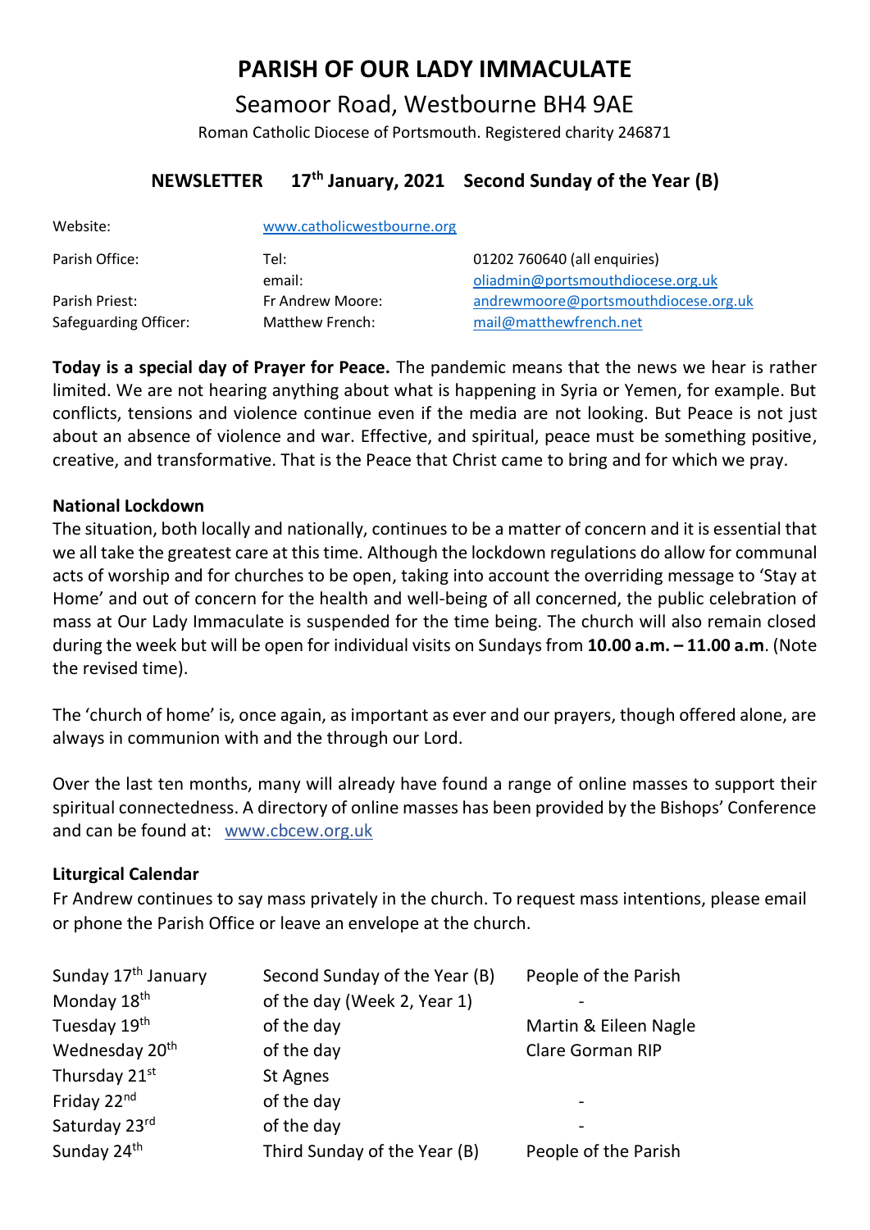# **PARISH OF OUR LADY IMMACULATE**

Seamoor Road, Westbourne BH4 9AE

Roman Catholic Diocese of Portsmouth. Registered charity 246871

### **NEWSLETTER 17 th January, 2021 Second Sunday of the Year (B)**

| Website:              | www.catholicwestbourne.org |                                      |
|-----------------------|----------------------------|--------------------------------------|
| Parish Office:        | Tel:                       | 01202 760640 (all enquiries)         |
|                       | email:                     | oliadmin@portsmouthdiocese.org.uk    |
| Parish Priest:        | Fr Andrew Moore:           | andrewmoore@portsmouthdiocese.org.uk |
| Safeguarding Officer: | Matthew French:            | mail@matthewfrench.net               |

**Today is a special day of Prayer for Peace.** The pandemic means that the news we hear is rather limited. We are not hearing anything about what is happening in Syria or Yemen, for example. But conflicts, tensions and violence continue even if the media are not looking. But Peace is not just about an absence of violence and war. Effective, and spiritual, peace must be something positive, creative, and transformative. That is the Peace that Christ came to bring and for which we pray.

# **National Lockdown**

The situation, both locally and nationally, continues to be a matter of concern and it is essential that we all take the greatest care at this time. Although the lockdown regulations do allow for communal acts of worship and for churches to be open, taking into account the overriding message to 'Stay at Home' and out of concern for the health and well-being of all concerned, the public celebration of mass at Our Lady Immaculate is suspended for the time being. The church will also remain closed during the week but will be open for individual visits on Sundays from **10.00 a.m. – 11.00 a.m**. (Note the revised time).

The 'church of home' is, once again, as important as ever and our prayers, though offered alone, are always in communion with and the through our Lord.

Over the last ten months, many will already have found a range of online masses to support their spiritual connectedness. A directory of online masses has been provided by the Bishops' Conference and can be found at: www.cbcew.org.uk

# **Liturgical Calendar**

Fr Andrew continues to say mass privately in the church. To request mass intentions, please email or phone the Parish Office or leave an envelope at the church.

| Sunday 17 <sup>th</sup> January | Second Sunday of the Year (B) | People of the Parish    |
|---------------------------------|-------------------------------|-------------------------|
| Monday 18 <sup>th</sup>         | of the day (Week 2, Year 1)   |                         |
| Tuesday 19 <sup>th</sup>        | of the day                    | Martin & Eileen Nagle   |
| Wednesday 20 <sup>th</sup>      | of the day                    | <b>Clare Gorman RIP</b> |
| Thursday 21st                   | St Agnes                      |                         |
| Friday 22nd                     | of the day                    |                         |
| Saturday 23rd                   | of the day                    |                         |
| Sunday 24th                     | Third Sunday of the Year (B)  | People of the Parish    |